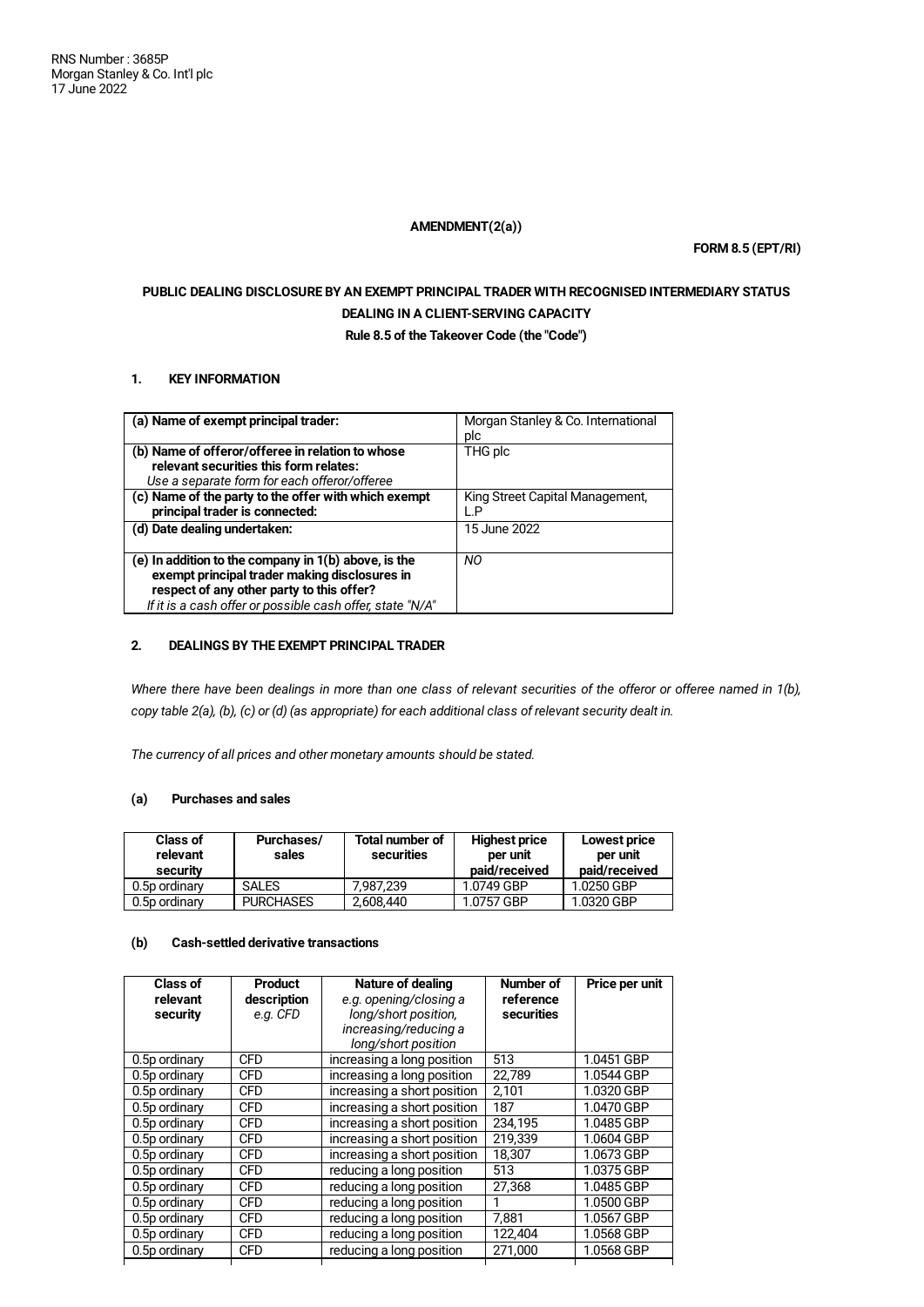## **AMENDMENT(2(a))**

**FORM 8.5 (EPT/RI)**

# **PUBLIC DEALING DISCLOSURE BY AN EXEMPT PRINCIPAL TRADER WITH RECOGNISED INTERMEDIARY STATUS DEALING IN A CLIENT-SERVING CAPACITY**

**Rule 8.5 of the Takeover Code (the "Code")**

## **1. KEY INFORMATION**

| (a) Name of exempt principal trader:                      | Morgan Stanley & Co. International |
|-----------------------------------------------------------|------------------------------------|
|                                                           | plc                                |
| (b) Name of offeror/offeree in relation to whose          | THG plc                            |
| relevant securities this form relates:                    |                                    |
| Use a separate form for each offeror/offeree              |                                    |
| (c) Name of the party to the offer with which exempt      | King Street Capital Management,    |
| principal trader is connected:                            | ⊹P                                 |
| (d) Date dealing undertaken:                              | 15 June 2022                       |
|                                                           |                                    |
| (e) In addition to the company in $1(b)$ above, is the    | NO.                                |
| exempt principal trader making disclosures in             |                                    |
| respect of any other party to this offer?                 |                                    |
| If it is a cash offer or possible cash offer, state "N/A" |                                    |

## **2. DEALINGS BY THE EXEMPT PRINCIPAL TRADER**

Where there have been dealings in more than one class of relevant securities of the offeror or offeree named in 1(b), copy table 2(a), (b), (c) or (d) (as appropriate) for each additional class of relevant security dealt in.

*The currency of all prices and other monetary amounts should be stated.*

## **(a) Purchases and sales**

| <b>Class of</b><br>relevant<br>security | Purchases/<br>sales | <b>Total number of</b><br>securities | <b>Highest price</b><br>per unit<br>paid/received | Lowest price<br>per unit<br>paid/received |
|-----------------------------------------|---------------------|--------------------------------------|---------------------------------------------------|-------------------------------------------|
| 0.5p ordinary                           | <b>SALES</b>        | 7.987.239                            | 1.0749 GBP                                        | 1.0250 GBP                                |
| 0.5p ordinary                           | <b>PURCHASES</b>    | 2,608,440                            | 1.0757 GBP                                        | 1.0320 GBP                                |

# **(b) Cash-settled derivative transactions**

| Class of<br>relevant<br>security | <b>Product</b><br>description<br>e.g. CFD | Nature of dealing<br>e.g. opening/closing a<br>long/short position,<br>increasing/reducing a<br>long/short position | Number of<br>reference<br>securities | Price per unit |
|----------------------------------|-------------------------------------------|---------------------------------------------------------------------------------------------------------------------|--------------------------------------|----------------|
| 0.5p ordinary                    | <b>CFD</b>                                | increasing a long position                                                                                          | 513                                  | 1.0451 GBP     |
| 0.5p ordinary                    | <b>CFD</b>                                | increasing a long position                                                                                          | 22,789                               | 1.0544 GBP     |
| 0.5p ordinary                    | <b>CFD</b>                                | increasing a short position                                                                                         | 2,101                                | 1.0320 GBP     |
| 0.5p ordinary                    | <b>CFD</b>                                | increasing a short position                                                                                         | 187                                  | 1.0470 GBP     |
| 0.5p ordinary                    | <b>CFD</b>                                | increasing a short position                                                                                         | 234.195                              | 1.0485 GBP     |
| 0.5p ordinary                    | <b>CFD</b>                                | increasing a short position                                                                                         | 219.339                              | 1.0604 GBP     |
| 0.5p ordinary                    | <b>CFD</b>                                | increasing a short position                                                                                         | 18.307                               | 1.0673 GBP     |
| 0.5p ordinary                    | <b>CFD</b>                                | reducing a long position                                                                                            | 513                                  | 1.0375 GBP     |
| 0.5p ordinary                    | <b>CFD</b>                                | reducing a long position                                                                                            | 27,368                               | 1.0485 GBP     |
| 0.5p ordinary                    | <b>CFD</b>                                | reducing a long position                                                                                            | 1                                    | 1.0500 GBP     |
| 0.5p ordinary                    | <b>CFD</b>                                | reducing a long position                                                                                            | 7.881                                | 1.0567 GBP     |
| 0.5p ordinary                    | <b>CFD</b>                                | reducing a long position                                                                                            | 122,404                              | 1.0568 GBP     |
| 0.5p ordinary                    | <b>CFD</b>                                | reducing a long position                                                                                            | 271,000                              | 1.0568 GBP     |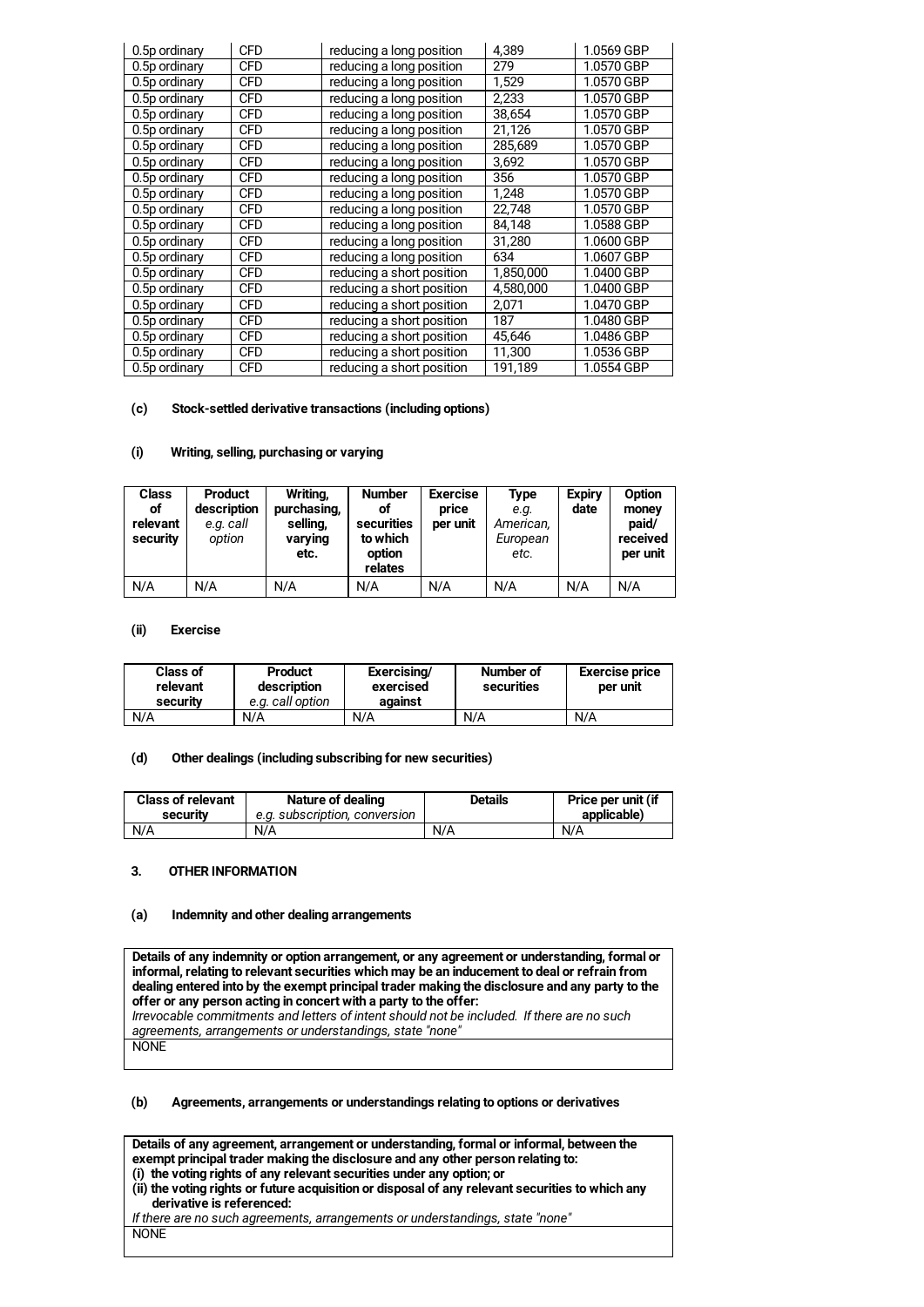| 0.5p ordinary | <b>CFD</b> | reducing a long position  | 4,389     | 1.0569 GBP |
|---------------|------------|---------------------------|-----------|------------|
| 0.5p ordinary | <b>CFD</b> | reducing a long position  | 279       | 1.0570 GBP |
| 0.5p ordinary | <b>CFD</b> | reducing a long position  | 1,529     | 1.0570 GBP |
| 0.5p ordinary | <b>CFD</b> | reducing a long position  | 2,233     | 1.0570 GBP |
| 0.5p ordinary | <b>CFD</b> | reducing a long position  | 38,654    | 1.0570 GBP |
| 0.5p ordinary | <b>CFD</b> | reducing a long position  | 21,126    | 1.0570 GBP |
| 0.5p ordinary | <b>CFD</b> | reducing a long position  | 285,689   | 1.0570 GBP |
| 0.5p ordinary | <b>CFD</b> | reducing a long position  | 3,692     | 1.0570 GBP |
| 0.5p ordinary | <b>CFD</b> | reducing a long position  | 356       | 1.0570 GBP |
| 0.5p ordinary | <b>CFD</b> | reducing a long position  | 1,248     | 1.0570 GBP |
| 0.5p ordinary | <b>CFD</b> | reducing a long position  | 22,748    | 1.0570 GBP |
| 0.5p ordinary | <b>CFD</b> | reducing a long position  | 84,148    | 1.0588 GBP |
| 0.5p ordinary | <b>CFD</b> | reducing a long position  | 31,280    | 1.0600 GBP |
| 0.5p ordinary | <b>CFD</b> | reducing a long position  | 634       | 1.0607 GBP |
| 0.5p ordinary | <b>CFD</b> | reducing a short position | 1,850,000 | 1.0400 GBP |
| 0.5p ordinary | <b>CFD</b> | reducing a short position | 4,580,000 | 1.0400 GBP |
| 0.5p ordinary | <b>CFD</b> | reducing a short position | 2,071     | 1.0470 GBP |
| 0.5p ordinary | <b>CFD</b> | reducing a short position | 187       | 1.0480 GBP |
| 0.5p ordinary | <b>CFD</b> | reducing a short position | 45,646    | 1.0486 GBP |
| 0.5p ordinary | <b>CFD</b> | reducing a short position | 11,300    | 1.0536 GBP |
| 0.5p ordinary | <b>CFD</b> | reducing a short position | 191,189   | 1.0554 GBP |

#### **(c) Stock-settled derivative transactions (including options)**

#### **(i) Writing, selling, purchasing or varying**

| <b>Class</b><br>οf<br>relevant<br>security | <b>Product</b><br>description<br>e.g. call<br>option | Writing,<br>purchasing,<br>selling,<br>varying<br>etc. | <b>Number</b><br>of<br>securities<br>to which<br>option<br>relates | <b>Exercise</b><br>price<br>per unit | Type<br>e.g.<br>American,<br>European<br>etc. | <b>Expirv</b><br>date | Option<br>money<br>paid/<br>received<br>per unit |
|--------------------------------------------|------------------------------------------------------|--------------------------------------------------------|--------------------------------------------------------------------|--------------------------------------|-----------------------------------------------|-----------------------|--------------------------------------------------|
| N/A                                        | N/A                                                  | N/A                                                    | N/A                                                                | N/A                                  | N/A                                           | N/A                   | N/A                                              |

#### **(ii) Exercise**

| Class of<br>relevant<br>security | <b>Product</b><br>description<br>e.g. call option | Exercising/<br>exercised<br>against | Number of<br>securities | <b>Exercise price</b><br>per unit |
|----------------------------------|---------------------------------------------------|-------------------------------------|-------------------------|-----------------------------------|
| N/A                              | N/A                                               | N/A                                 | N/A                     | N/A                               |

## **(d) Other dealings (including subscribing for new securities)**

| <b>Class of relevant</b> | Nature of dealing             | <b>Details</b> | Price per unit (if |
|--------------------------|-------------------------------|----------------|--------------------|
| security                 | e.a. subscription, conversion |                | applicable)        |
| N/A                      | N/A                           | N/A            | N/A                |

## **3. OTHER INFORMATION**

#### **(a) Indemnity and other dealing arrangements**

**Details of any indemnity or option arrangement, or any agreement or understanding, formal or informal, relating to relevant securities which may be an inducement to deal or refrain from dealing entered into by the exempt principal trader making the disclosure and any party to the offer or any person acting in concert with a party to the offer:** *Irrevocable commitments and letters of intent should not be included. If there are no such agreements, arrangements or understandings, state "none"* **NONE** 

#### **(b) Agreements, arrangements or understandings relating to options or derivatives**

**Details of any agreement, arrangement or understanding, formal or informal, between the exempt principal trader making the disclosure and any other person relating to: (i) the voting rights of any relevant securities under any option; or (ii) the voting rights or future acquisition or disposal of any relevant securities to which any derivative is referenced:** *If there are no such agreements, arrangements or understandings, state "none"* NONE